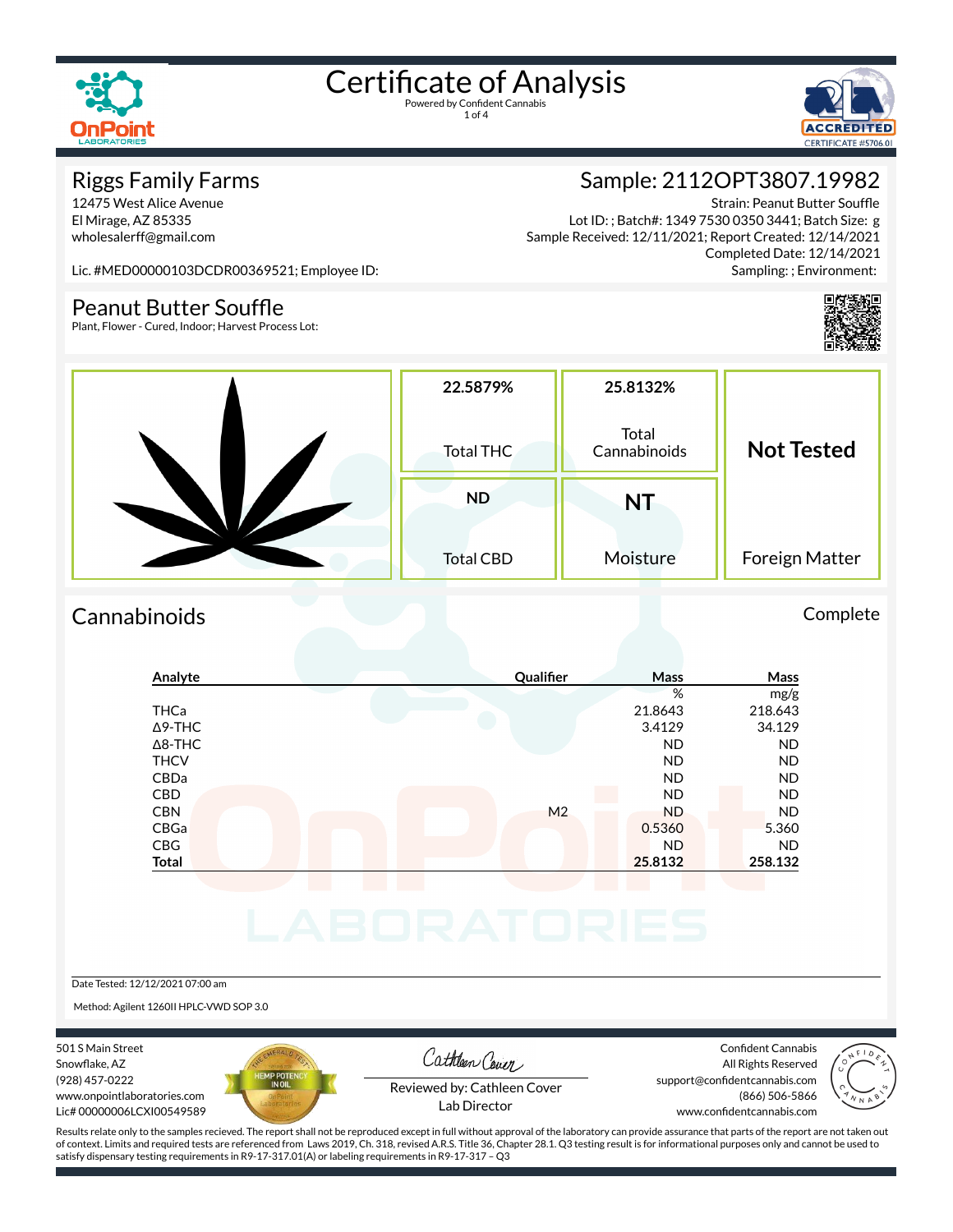

1 of 4



#### Riggs Family Farms

12475 West Alice Avenue El Mirage, AZ 85335 wholesalerff@gmail.com

### Sample: 2112OPT3807.19982

Strain: Peanut Butter Souffle Lot ID: ; Batch#: 1349 7530 0350 3441; Batch Size: g Sample Received: 12/11/2021; Report Created: 12/14/2021 Completed Date: 12/14/2021 Sampling: ; Environment:

Lic. #MED00000103DCDR00369521; Employee ID:

#### Peanut Butter Souffle

Plant, Flower - Cured, Indoor; Harvest Process Lot:



#### Cannabinoids Complete



#### Date Tested: 12/12/2021 07:00 am

Method: Agilent 1260II HPLC-VWD SOP 3.0

501 S Main Street Snowflake, AZ (928) 457-0222 www.onpointlaboratories.com Lic# 00000006LCXI00549589



Cathleen Cover

Confident Cannabis All Rights Reserved support@confidentcannabis.com (866) 506-5866



Reviewed by: Cathleen Cover Lab Director

www.confidentcannabis.com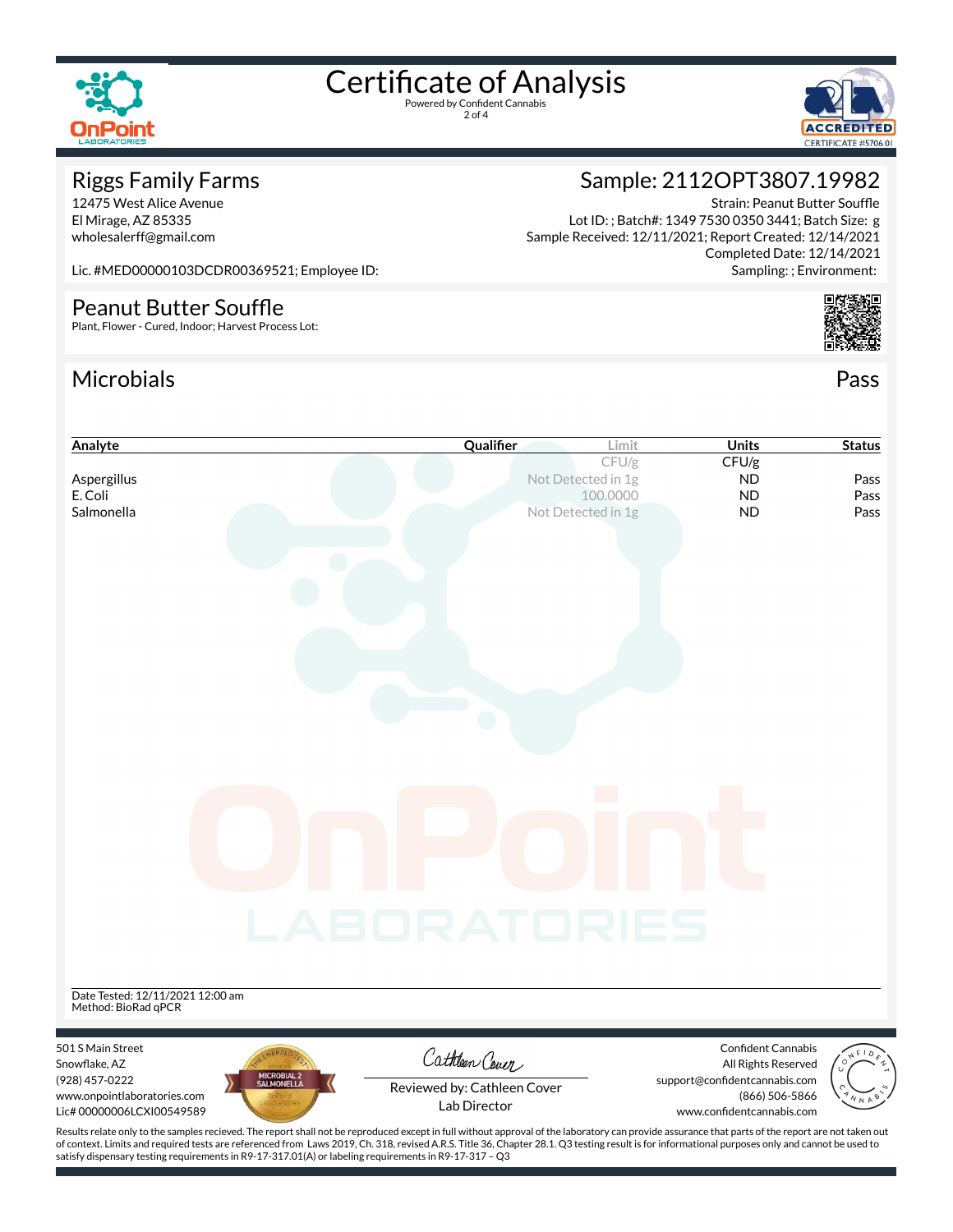

2 of 4



#### Riggs Family Farms

12475 West Alice Avenue El Mirage, AZ 85335 wholesalerff@gmail.com

### Sample: 2112OPT3807.19982

Strain: Peanut Butter Souffle Lot ID: ; Batch#: 1349 7530 0350 3441; Batch Size: g Sample Received: 12/11/2021; Report Created: 12/14/2021 Completed Date: 12/14/2021 Sampling: ; Environment:

Lic. #MED00000103DCDR00369521; Employee ID:

#### Peanut Butter Souffle

Plant, Flower - Cured, Indoor; Harvest Process Lot:

#### Microbials Pass



| Analyte                                                                                                                                                                                            | Qualifier                   | Limit                          | <b>Units</b>                                    | <b>Status</b> |
|----------------------------------------------------------------------------------------------------------------------------------------------------------------------------------------------------|-----------------------------|--------------------------------|-------------------------------------------------|---------------|
|                                                                                                                                                                                                    |                             | CFU/g                          | CFU/g                                           |               |
| Aspergillus<br>E. Coli                                                                                                                                                                             |                             | Not Detected in 1g<br>100.0000 | <b>ND</b><br><b>ND</b>                          | Pass<br>Pass  |
| Salmonella                                                                                                                                                                                         |                             | Not Detected in 1g             | <b>ND</b>                                       | Pass          |
|                                                                                                                                                                                                    |                             |                                |                                                 |               |
|                                                                                                                                                                                                    |                             |                                |                                                 |               |
|                                                                                                                                                                                                    |                             |                                |                                                 |               |
|                                                                                                                                                                                                    |                             |                                |                                                 |               |
|                                                                                                                                                                                                    |                             |                                |                                                 |               |
|                                                                                                                                                                                                    |                             |                                |                                                 |               |
|                                                                                                                                                                                                    |                             |                                |                                                 |               |
|                                                                                                                                                                                                    |                             |                                |                                                 |               |
|                                                                                                                                                                                                    |                             |                                |                                                 |               |
|                                                                                                                                                                                                    |                             |                                |                                                 |               |
|                                                                                                                                                                                                    |                             |                                |                                                 |               |
|                                                                                                                                                                                                    |                             |                                |                                                 |               |
|                                                                                                                                                                                                    |                             |                                |                                                 |               |
|                                                                                                                                                                                                    |                             |                                |                                                 |               |
|                                                                                                                                                                                                    |                             |                                |                                                 |               |
|                                                                                                                                                                                                    |                             |                                |                                                 |               |
|                                                                                                                                                                                                    |                             |                                |                                                 |               |
|                                                                                                                                                                                                    |                             |                                |                                                 |               |
|                                                                                                                                                                                                    |                             |                                |                                                 |               |
|                                                                                                                                                                                                    | LABORATORIES                |                                |                                                 |               |
|                                                                                                                                                                                                    |                             |                                |                                                 |               |
|                                                                                                                                                                                                    |                             |                                |                                                 |               |
| Date Tested: 12/11/2021 12:00 am<br>Method: BioRad qPCR                                                                                                                                            |                             |                                |                                                 |               |
|                                                                                                                                                                                                    |                             |                                |                                                 |               |
| 501 S Main Street                                                                                                                                                                                  |                             |                                | <b>Confident Cannabis</b>                       |               |
| Snowflake, AZ                                                                                                                                                                                      | Cathleen Cover              |                                | All Rights Reserved                             |               |
| MICROBIAL 2<br>SALMONELLA<br>(928) 457-0222<br>www.onpointlaboratories.com                                                                                                                         | Reviewed by: Cathleen Cover |                                | support@confidentcannabis.com<br>(866) 506-5866 |               |
| Lic# 00000006LCXI00549589                                                                                                                                                                          | Lab Director                |                                | www.confidentcannabis.com                       |               |
| Results relate only to the samples recieved. The report shall not be reproduced except in full without approval of the laboratory can provide assurance that parts of the report are not taken out |                             |                                |                                                 |               |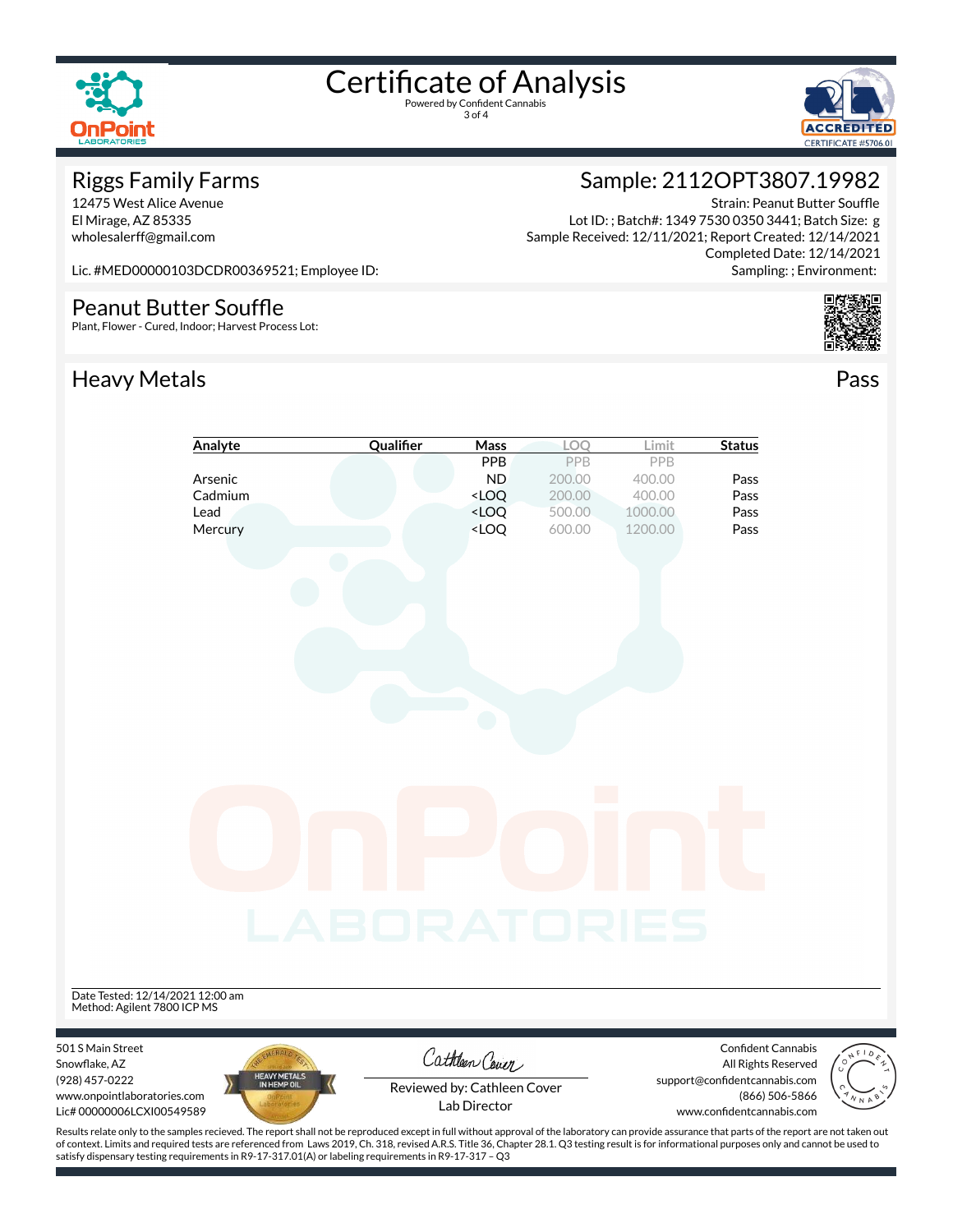

3 of 4



#### Riggs Family Farms

12475 West Alice Avenue El Mirage, AZ 85335 wholesalerff@gmail.com

### Sample: 2112OPT3807.19982

Strain: Peanut Butter Souffle Lot ID: ; Batch#: 1349 7530 0350 3441; Batch Size: g Sample Received: 12/11/2021; Report Created: 12/14/2021 Completed Date: 12/14/2021 Sampling: ; Environment:

Lic. #MED00000103DCDR00369521; Employee ID:

#### Peanut Butter Souffle

Plant, Flower - Cured, Indoor; Harvest Process Lot:

#### Heavy Metals **Pass**